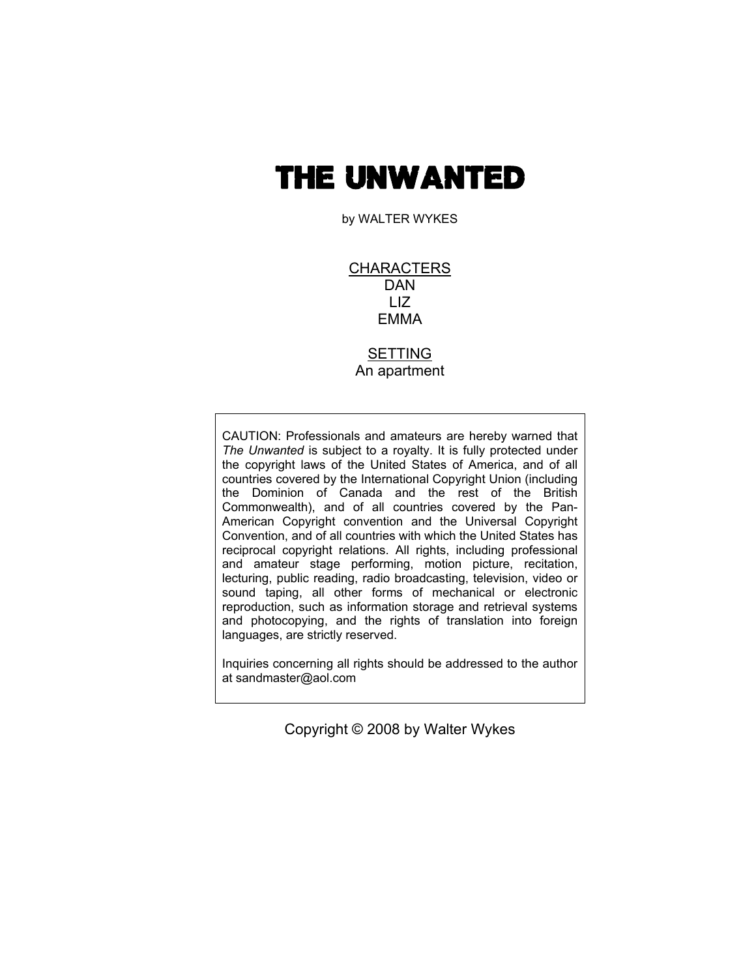# THE UNWANTED

by WALTER WYKES

CHARACTERS DAN LIZ EMMA

SETTING An apartment

CAUTION: Professionals and amateurs are hereby warned that *The Unwanted* is subject to a royalty. It is fully protected under the copyright laws of the United States of America, and of all countries covered by the International Copyright Union (including the Dominion of Canada and the rest of the British Commonwealth), and of all countries covered by the Pan-American Copyright convention and the Universal Copyright Convention, and of all countries with which the United States has reciprocal copyright relations. All rights, including professional and amateur stage performing, motion picture, recitation, lecturing, public reading, radio broadcasting, television, video or sound taping, all other forms of mechanical or electronic reproduction, such as information storage and retrieval systems and photocopying, and the rights of translation into foreign languages, are strictly reserved.

Inquiries concerning all rights should be addressed to the author at sandmaster@aol.com

Copyright © 2008 by Walter Wykes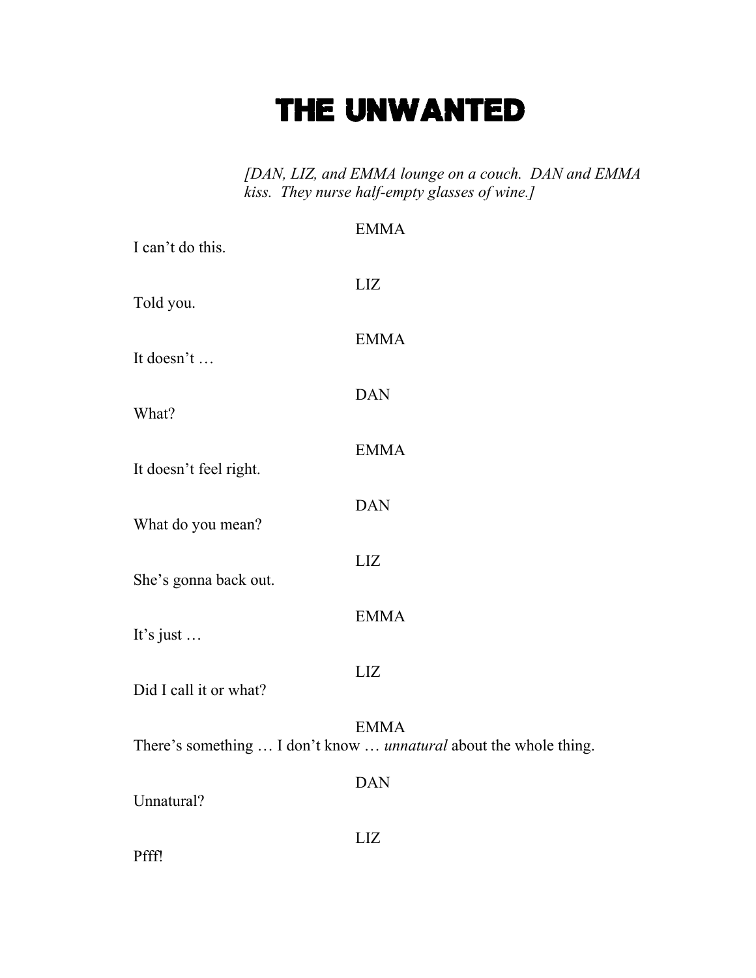# THE UNWANTED

*[DAN, LIZ, and EMMA lounge on a couch. DAN and EMMA kiss. They nurse half-empty glasses of wine.]* 

| I can't do this.       | <b>EMMA</b>                                                                      |
|------------------------|----------------------------------------------------------------------------------|
| Told you.              | LIZ                                                                              |
| It doesn't             | <b>EMMA</b>                                                                      |
| What?                  | <b>DAN</b>                                                                       |
| It doesn't feel right. | <b>EMMA</b>                                                                      |
| What do you mean?      | <b>DAN</b>                                                                       |
| She's gonna back out.  | <b>LIZ</b>                                                                       |
| It's just $\ldots$     | <b>EMMA</b>                                                                      |
| Did I call it or what? | <b>LIZ</b>                                                                       |
|                        | <b>EMMA</b><br>There's something  I don't know  unnatural about the whole thing. |
| Unnatural?             | <b>DAN</b>                                                                       |
| Pfff!                  | LIZ                                                                              |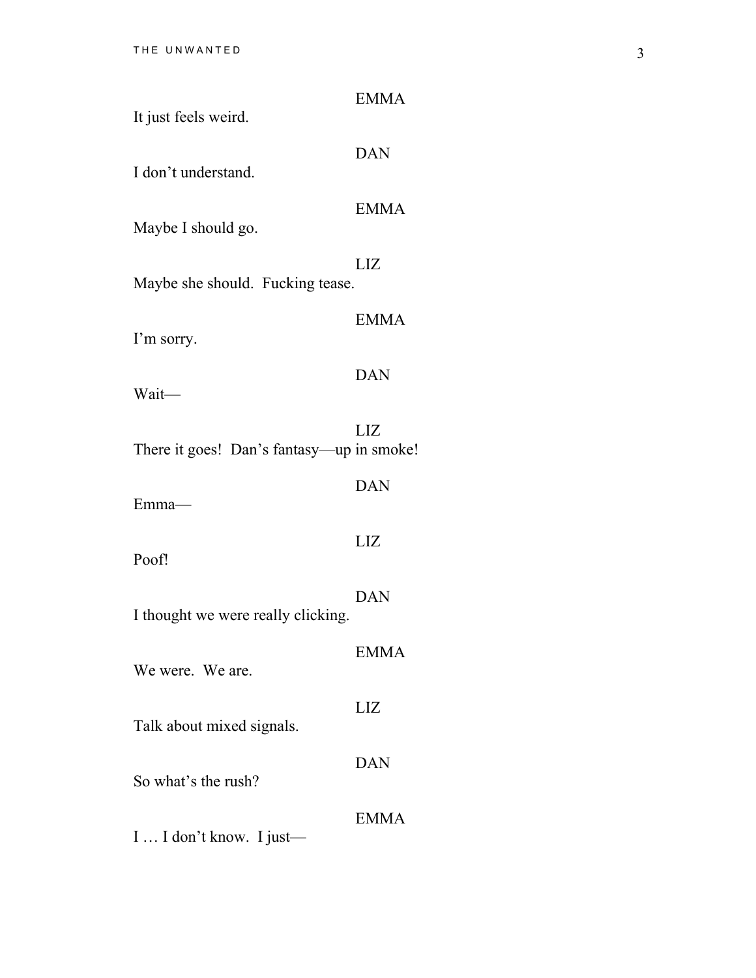| It just feels weird.                      | <b>EMMA</b> |
|-------------------------------------------|-------------|
| I don't understand.                       | <b>DAN</b>  |
| Maybe I should go.                        | <b>EMMA</b> |
| Maybe she should. Fucking tease.          | LIZ         |
|                                           | <b>EMMA</b> |
| I'm sorry.                                | <b>DAN</b>  |
| Wait-                                     |             |
| There it goes! Dan's fantasy—up in smoke! | LIZ         |
| Emma-                                     | <b>DAN</b>  |
| Poof!                                     | LIZ         |
| I thought we were really clicking.        | <b>DAN</b>  |
| We were. We are.                          | <b>EMMA</b> |
| Talk about mixed signals.                 | LIZ         |
| So what's the rush?                       | <b>DAN</b>  |
| I  I don't know. I just—                  | <b>EMMA</b> |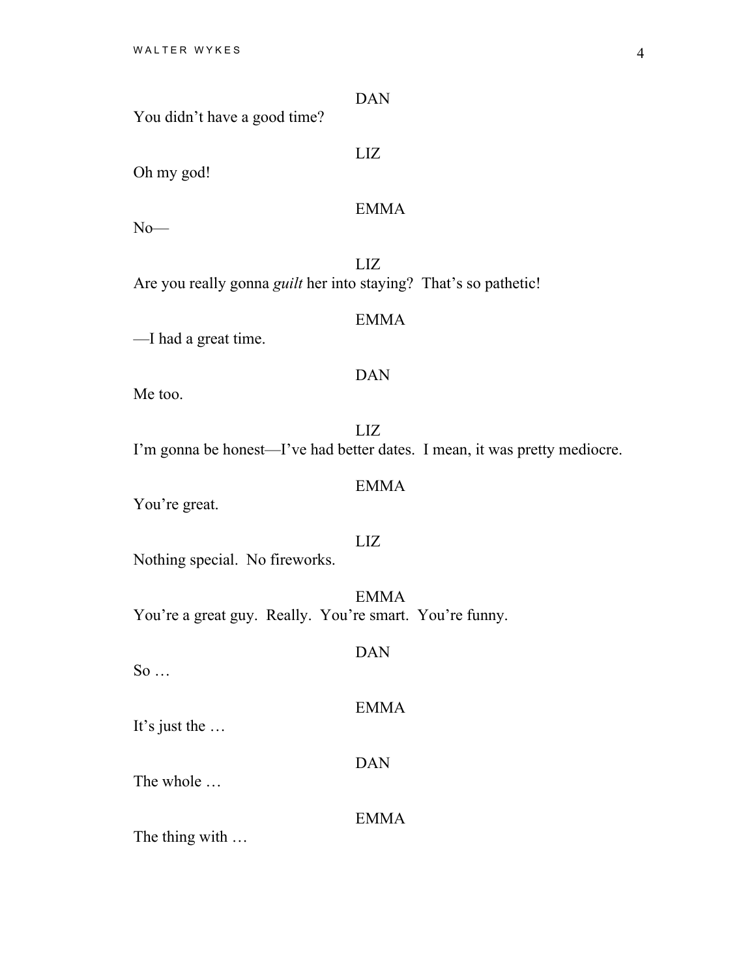| You didn't have a good time?                                            | <b>DAN</b>                                                                        |
|-------------------------------------------------------------------------|-----------------------------------------------------------------------------------|
| Oh my god!                                                              | LIZ                                                                               |
| $No$ —                                                                  | <b>EMMA</b>                                                                       |
| Are you really gonna <i>guilt</i> her into staying? That's so pathetic! | <b>LIZ</b>                                                                        |
| -I had a great time.                                                    | <b>EMMA</b>                                                                       |
| Me too.                                                                 | <b>DAN</b>                                                                        |
|                                                                         | LIZ<br>I'm gonna be honest—I've had better dates. I mean, it was pretty mediocre. |
| You're great.                                                           | <b>EMMA</b>                                                                       |
| Nothing special. No fireworks.                                          | LIZ                                                                               |
| You're a great guy. Really. You're smart. You're funny.                 | <b>EMMA</b>                                                                       |
| $So \dots$                                                              | <b>DAN</b>                                                                        |
| It's just the $\dots$                                                   | <b>EMMA</b>                                                                       |
| The whole                                                               | <b>DAN</b>                                                                        |
| The thing with                                                          | <b>EMMA</b>                                                                       |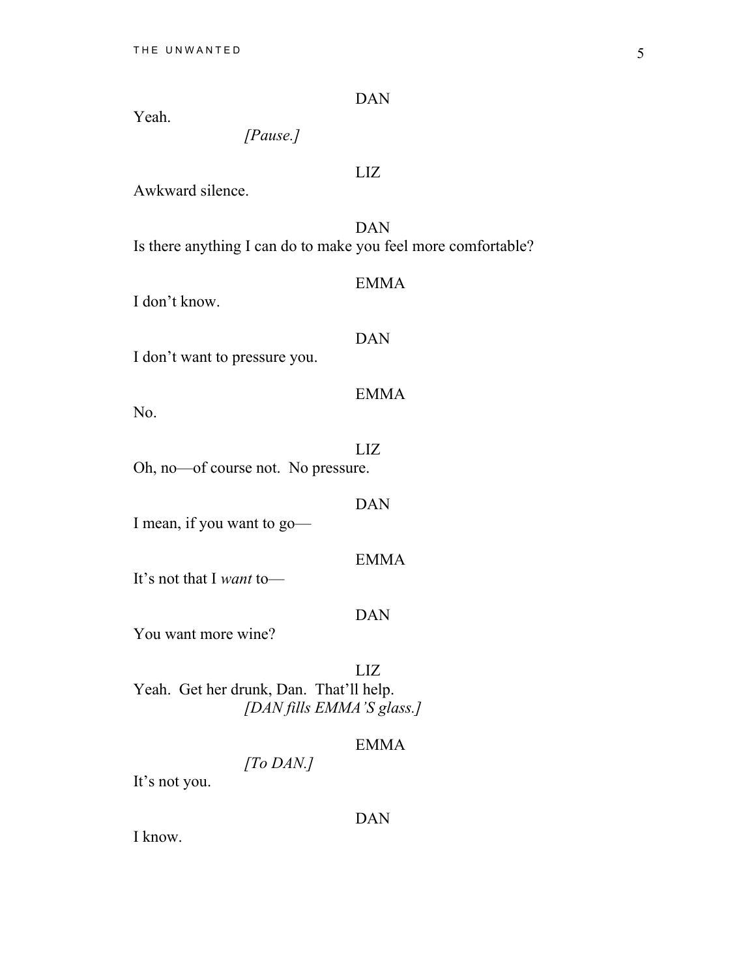DAN

Yeah.

*[Pause.]* 

# LIZ

Awkward silence.

 DAN Is there anything I can do to make you feel more comfortable?

#### EMMA

I don't know.

#### DAN

I don't want to pressure you.

# EMMA

No.

 LIZ Oh, no—of course not. No pressure.

I mean, if you want to go—

It's not that I *want* to—

#### DAN

DAN

EMMA

You want more wine?

 LIZ Yeah. Get her drunk, Dan. That'll help. *[DAN fills EMMA'S glass.]* 

*[To DAN.]*

# EMMA

It's not you.

DAN

I know.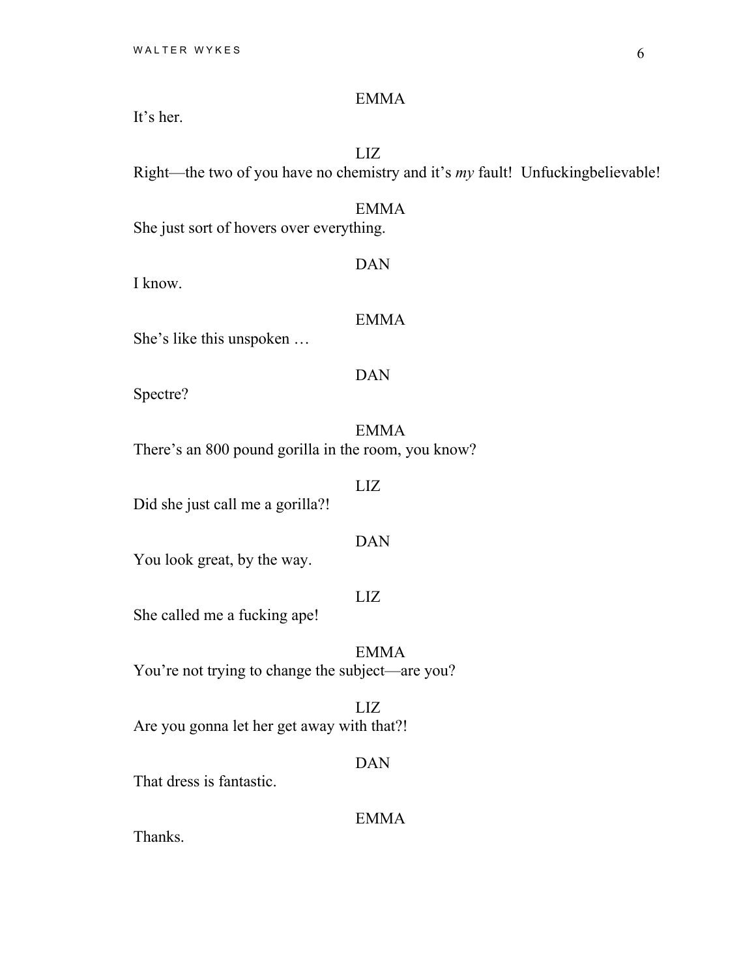It's her.

#### LIZ

Right—the two of you have no chemistry and it's *my* fault! Unfuckingbelievable!

# EMMA

She just sort of hovers over everything.

I know.

# EMMA

DAN

She's like this unspoken …

# DAN

Spectre?

 EMMA There's an 800 pound gorilla in the room, you know?

#### LIZ

Did she just call me a gorilla?!

### DAN

You look great, by the way.

# LIZ

She called me a fucking ape!

 EMMA You're not trying to change the subject—are you?

 LIZ Are you gonna let her get away with that?!

#### DAN

That dress is fantastic.

EMMA

Thanks.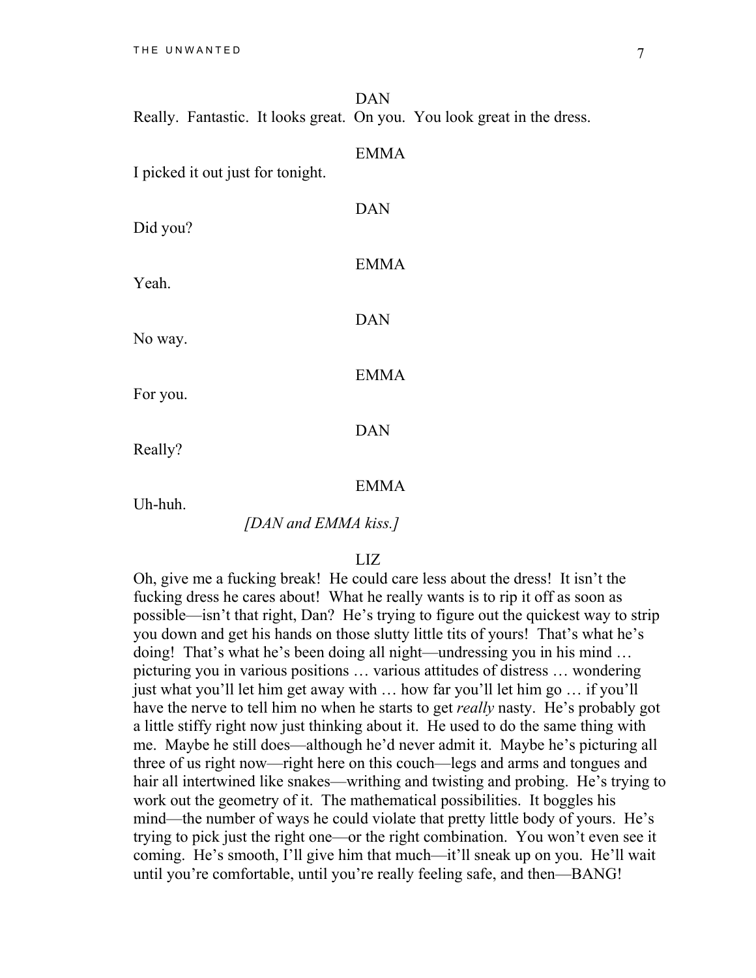|  | DAN |                                                                         |
|--|-----|-------------------------------------------------------------------------|
|  |     | Really. Fantastic. It looks great. On you. You look great in the dress. |
|  |     |                                                                         |

I picked it out just for tonight. DAN Did you? EMMA Yeah. DAN No way. EMMA For you.

Really?

#### EMMA

DAN

Uh-huh.

#### *[DAN and EMMA kiss.]*

#### LIZ

Oh, give me a fucking break! He could care less about the dress! It isn't the fucking dress he cares about! What he really wants is to rip it off as soon as possible—isn't that right, Dan? He's trying to figure out the quickest way to strip you down and get his hands on those slutty little tits of yours! That's what he's doing! That's what he's been doing all night—undressing you in his mind … picturing you in various positions … various attitudes of distress … wondering just what you'll let him get away with … how far you'll let him go … if you'll have the nerve to tell him no when he starts to get *really* nasty. He's probably got a little stiffy right now just thinking about it. He used to do the same thing with me. Maybe he still does—although he'd never admit it. Maybe he's picturing all three of us right now—right here on this couch—legs and arms and tongues and hair all intertwined like snakes—writhing and twisting and probing. He's trying to work out the geometry of it. The mathematical possibilities. It boggles his mind—the number of ways he could violate that pretty little body of yours. He's trying to pick just the right one—or the right combination. You won't even see it coming. He's smooth, I'll give him that much—it'll sneak up on you. He'll wait until you're comfortable, until you're really feeling safe, and then—BANG!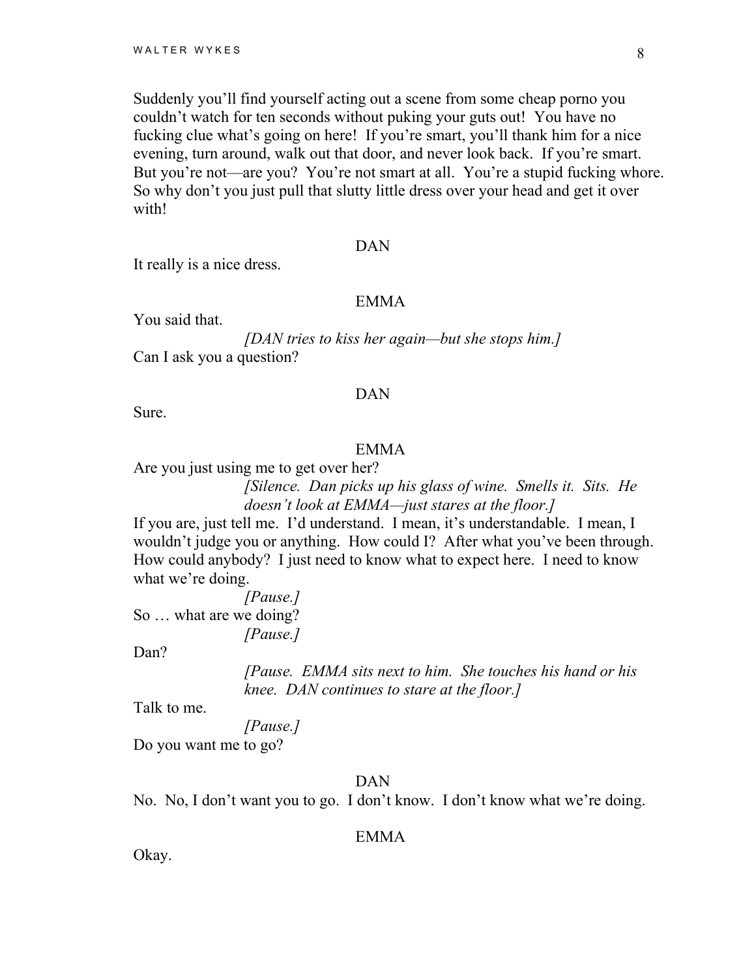Suddenly you'll find yourself acting out a scene from some cheap porno you couldn't watch for ten seconds without puking your guts out! You have no fucking clue what's going on here! If you're smart, you'll thank him for a nice evening, turn around, walk out that door, and never look back. If you're smart. But you're not—are you? You're not smart at all. You're a stupid fucking whore. So why don't you just pull that slutty little dress over your head and get it over with!

#### DAN

It really is a nice dress.

#### EMMA

You said that.

*[DAN tries to kiss her again—but she stops him.]*  Can I ask you a question?

#### DAN

Sure.

#### EMMA

Are you just using me to get over her?

*[Silence. Dan picks up his glass of wine. Smells it. Sits. He doesn't look at EMMA—just stares at the floor.]* 

If you are, just tell me. I'd understand. I mean, it's understandable. I mean, I wouldn't judge you or anything. How could I? After what you've been through. How could anybody? I just need to know what to expect here. I need to know what we're doing.

*[Pause.]*  So … what are we doing? *[Pause.]* 

Dan?

*[Pause. EMMA sits next to him. She touches his hand or his knee. DAN continues to stare at the floor.]* 

Talk to me.

*[Pause.]* 

Do you want me to go?

DAN

No. No, I don't want you to go. I don't know. I don't know what we're doing.

#### EMMA

Okay.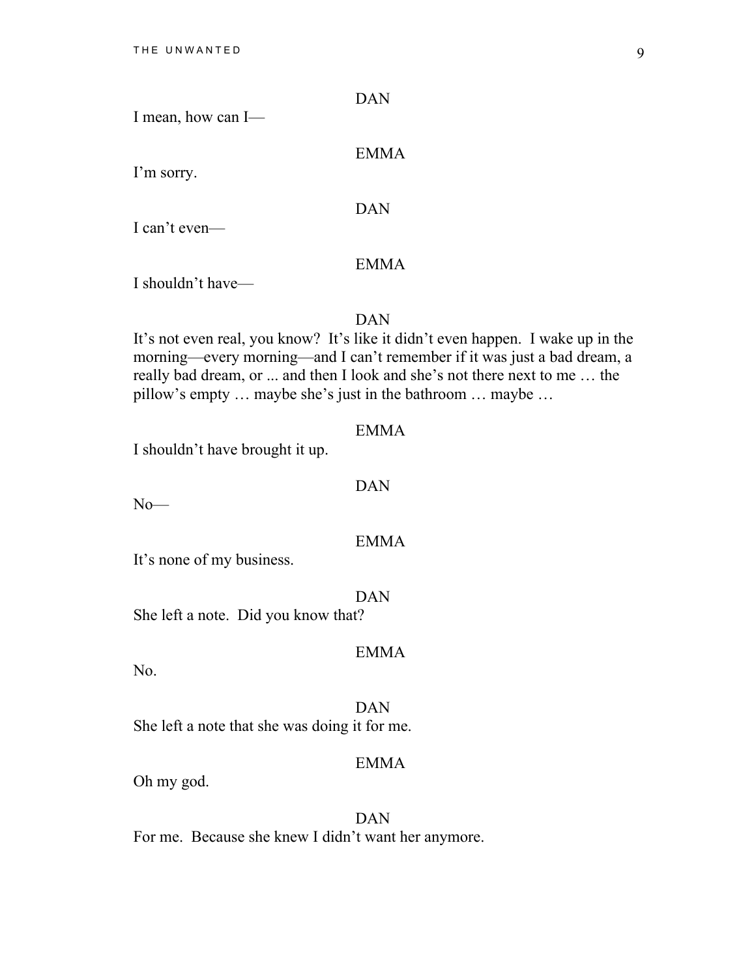|                    | DAN |
|--------------------|-----|
| I mean, how can I— |     |

I'm sorry.

DAN

EMMA

I can't even—

#### EMMA

I shouldn't have—

DAN

It's not even real, you know? It's like it didn't even happen. I wake up in the morning—every morning—and I can't remember if it was just a bad dream, a really bad dream, or ... and then I look and she's not there next to me … the pillow's empty … maybe she's just in the bathroom … maybe …

#### EMMA

I shouldn't have brought it up.

#### DAN

 $No$ —

#### EMMA

It's none of my business.

DAN

EMMA

She left a note. Did you know that?

No.

 DAN She left a note that she was doing it for me.

## EMMA

Oh my god.

 DAN For me. Because she knew I didn't want her anymore.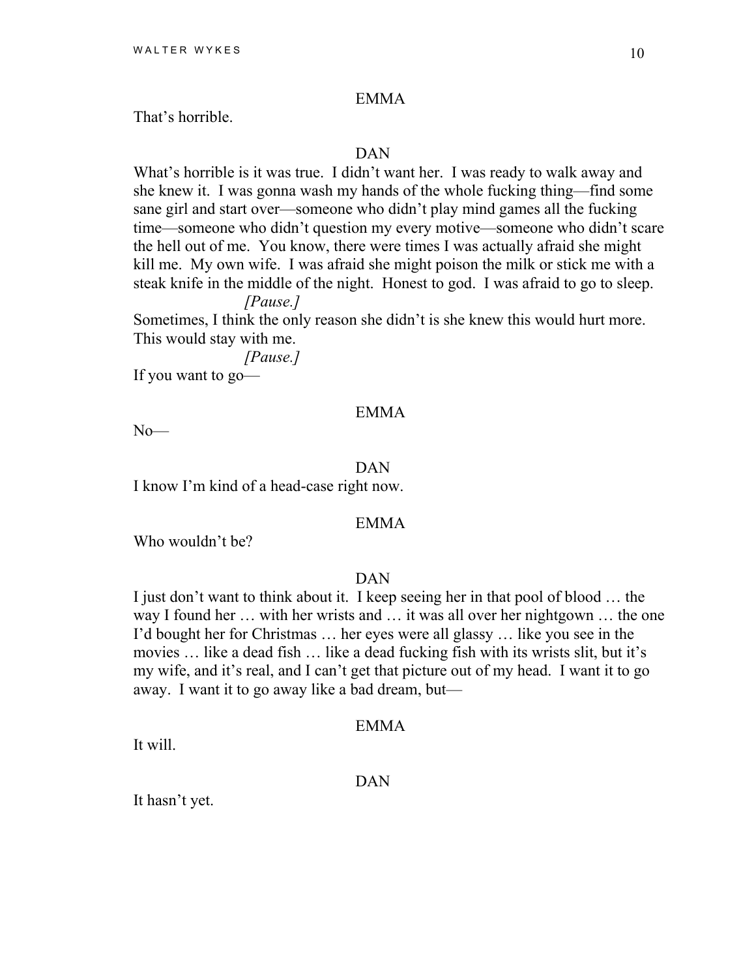That's horrible.

#### DAN

What's horrible is it was true. I didn't want her. I was ready to walk away and she knew it. I was gonna wash my hands of the whole fucking thing—find some sane girl and start over—someone who didn't play mind games all the fucking time—someone who didn't question my every motive—someone who didn't scare the hell out of me. You know, there were times I was actually afraid she might kill me. My own wife. I was afraid she might poison the milk or stick me with a steak knife in the middle of the night. Honest to god. I was afraid to go to sleep.

*[Pause.]* 

Sometimes, I think the only reason she didn't is she knew this would hurt more. This would stay with me.

*[Pause.]* 

If you want to go—

#### EMMA

 $No$ — $\overline{$ 

#### DAN

I know I'm kind of a head-case right now.

#### EMMA

Who wouldn't be?

#### DAN

I just don't want to think about it. I keep seeing her in that pool of blood … the way I found her … with her wrists and … it was all over her nightgown … the one I'd bought her for Christmas … her eyes were all glassy … like you see in the movies … like a dead fish … like a dead fucking fish with its wrists slit, but it's my wife, and it's real, and I can't get that picture out of my head. I want it to go away. I want it to go away like a bad dream, but—

#### EMMA

It will.

DAN

It hasn't yet.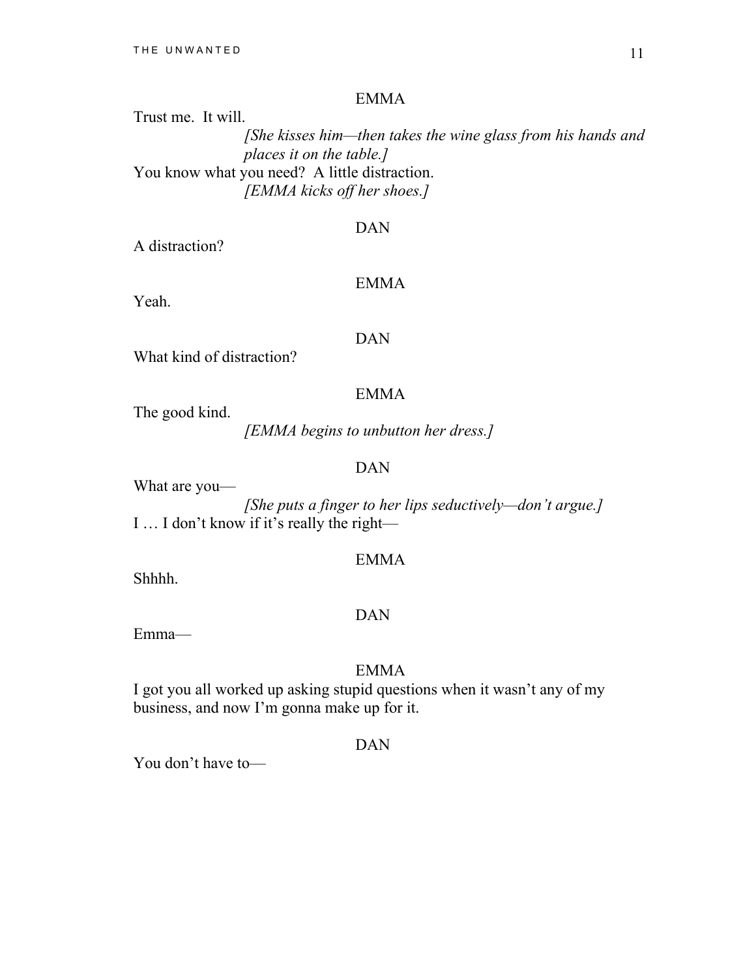# Trust me. It will. *[She kisses him—then takes the wine glass from his hands and places it on the table.]*  You know what you need? A little distraction. *[EMMA kicks off her shoes.]*

#### DAN

A distraction?

#### EMMA

Yeah.

#### DAN

What kind of distraction?

#### EMMA

The good kind.

*[EMMA begins to unbutton her dress.]* 

#### DAN

What are you—

*[She puts a finger to her lips seductively—don't argue.]*  I … I don't know if it's really the right—

#### EMMA

Shhhh.

#### DAN

Emma—

#### EMMA

I got you all worked up asking stupid questions when it wasn't any of my business, and now I'm gonna make up for it.

#### DAN

You don't have to—